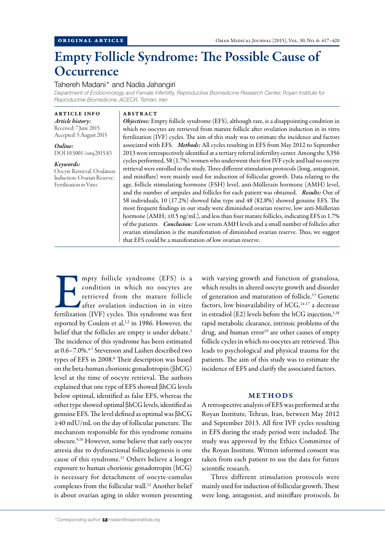# Empty Follicle Syndrome: The Possible Cause of **Occurrence**

## Tahereh Madani\* and Nadia Jahangiri

*Department of Endocrinology and Female Infertility, Reproductive Biomedicine Research Center, Royan Institute for Reproductive Biomedicine, ACECR, Tehran, Iran*

ARTICLE INFO *Article history:* 

Received: 7 June 2015 Accepted: 5 August 2015

*Online:* DOI 10.5001/omj.2015.83

*Keywords:*  Oocyte Retrieval; Ovulation Induction; Ovarian Reserve; Fertilization in Vitro.

#### ABSTRACT

*Objectives:* Empty follicle syndrome (EFS), although rare, is a disappointing condition in which no oocytes are retrieved from mature follicle after ovulation induction in in vitro fertilization (IVF) cycles. The aim of this study was to estimate the incidence and factors associated with EFS. *Methods:* All cycles resulting in EFS from May 2012 to September 2013 were retrospectively identified at a tertiary referral infertility center. Among the 3,356 cycles performed, 58 (1.7%) women who underwent their first IVF cycle and had no oocyte retrieval were enrolled in the study. Three different stimulation protocols (long, antagonist, and miniflare) were mainly used for induction of follicular growth. Data relating to the age, follicle stimulating hormone (FSH) level, anti-Müllerain hormone (AMH) level, and the number of ampules and follicles for each patient was obtained. *Results:* Out of 58 individuals, 10 (17.2%) showed false type and 48 (82.8%) showed genuine EFS. The most frequent findings in our study were diminished ovarian reserve, low anti-Müllerian hormone (AMH; ≤0.5 ng/mL), and less than four mature follicles, indicating EFS in 1.7% of the patients. *Conclusion:* Low serum AMH levels and a small number of follicles after ovarian stimulation is the manifestation of diminished ovarian reserve. Thus, we suggest that EFS could be a manifestation of low ovarian reserve.

mpty follicle syndrome (EFS) is a condition in which no oocytes are retrieved from the mature follicle after ovulation induction in in vitro fertilization (IVF) cycles. This syndrome was first condition in which no oocytes are retrieved from the mature follicle after ovulation induction in in vitro fertilization (IVF) cycles. This syndrome was first reported by Coulem et al,<sup>1,2</sup> in 1986. However, the belief that the follicles are empty is under debate.<sup>3</sup> The incidence of this syndrome has been estimated at 0.6–7.0%.<sup>4-7</sup> Stevenson and Lashen described two types of EFS in 2008.<sup>8</sup> Their description was based on the beta-human chorionic gonadotropin (βhCG) level at the time of oocyte retrieval. The authors explained that one type of EFS showed βhCG levels below optimal, identified as false EFS, whereas the other type showed optimal βhCG levels, identified as genuine EFS. The level defined as optimal was βhCG ≥40 mIU/mL on the day of follicular puncture. The mechanism responsible for this syndrome remains obscure.9,10 However, some believe that early oocyte atresia due to dysfunctional folliculogenesis is one cause of this syndrome.<sup>11</sup> Others believe a longer exposure to human chorionic gonadotropin (hCG) is necessary for detachment of oocyte-cumulus complexes from the follicular wall.<sup>12</sup> Another belief is about ovarian aging in older women presenting

with varying growth and function of granulosa, which results in altered oocyte growth and disorder of generation and maturation of follicle.13 Genetic factors, low bioavailability of  $hCG, ^{14-17}$  a decrease in estradiol (E2) levels before the hCG injection, $3,18$ rapid metabolic clearance, intrinsic problems of the drug, and human error<sup>19</sup> are other causes of empty follicle cycles in which no oocytes are retrieved. This leads to psychological and physical trauma for the patients. The aim of this study was to estimate the incidence of EFS and clarify the associated factors.

### METHODS

A retrospective analysis of EFS was performed at the Royan Institute, Tehran, Iran, between May 2012 and September 2013. All first IVF cycles resulting in EFS during the study period were included. The study was approved by the Ethics Committee of the Royan Institute. Written informed consent was taken from each patient to use the data for future scientific research.

Three different stimulation protocols were mainly used for induction of follicular growth. These were long, antagonist, and miniflare protocols. In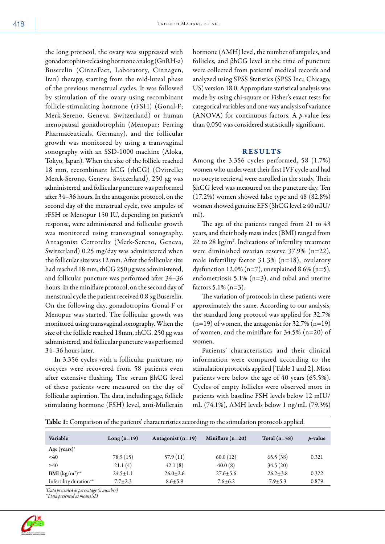the long protocol, the ovary was suppressed with gonadotrophin-releasing hormone analog (GnRH-a) Buserelin (CinnaFact, Laboratory, Cinnagen, Iran) therapy, starting from the mid-luteal phase of the previous menstrual cycles. It was followed by stimulation of the ovary using recombinant follicle-stimulating hormone (rFSH) (Gonal-F; Merk-Sereno, Geneva, Switzerland) or human menopausal gonadotrophin (Menopur; Ferring Pharmaceuticals, Germany), and the follicular growth was monitored by using a transvaginal sonography with an SSD-1000 machine (Aloka, Tokyo, Japan). When the size of the follicle reached 18 mm, recombinant hCG (rhCG) (Ovitrelle; Merck-Serono, Geneva, Switzerland), 250 µg was administered, and follicular puncture was performed after 34–36 hours. In the antagonist protocol, on the second day of the menstrual cycle, two ampules of rFSH or Menopur 150 IU, depending on patient's response, were administered and follicular growth was monitored using transvaginal sonography. Antagonist Cetrorelix (Merk-Sereno, Geneva, Switzerland) 0.25 mg/day was administered when the follicular size was 12 mm. After the follicular size had reached 18 mm, rhCG 250 µg was administered, and follicular puncture was performed after 34–36 hours. In the miniflare protocol, on the second day of menstrual cycle the patient received 0.8 µg Buserelin. On the following day, gonadotropins Gonal-F or Menopur was started. The follicular growth was monitored using transvaginal sonography. When the size of the follicle reached 18mm, rhCG, 250 µg was administered, and follicular puncture was performed 34–36 hours later.

In 3,356 cycles with a follicular puncture, no oocytes were recovered from 58 patients even after extensive flushing. The serum βhCG level of these patients were measured on the day of follicular aspiration. The data, including age, follicle stimulating hormone (FSH) level, anti-Müllerain

hormone (AMH) level, the number of ampules, and follicles, and βhCG level at the time of puncture were collected from patients' medical records and analyzed using SPSS Statistics (SPSS Inc., Chicago, US) version 18.0. Appropriate statistical analysis was made by using chi-square or Fisher's exact tests for categorical variables and one-way analysis of variance (ANOVA) for continuous factors. A *p*-value less than 0.050 was considered statistically significant.

# RESULTS

Among the 3,356 cycles performed, 58 (1.7%) women who underwent their first IVF cycle and had no oocyte retrieval were enrolled in the study. Their βhCG level was measured on the puncture day. Ten (17.2%) women showed false type and 48 (82.8%) women showed genuine EFS (βhCG level ≥40 mIU/ ml).

The age of the patients ranged from 21 to 43 years, and their body mass index (BMI) ranged from 22 to 28 kg/m2 . Indications of infertility treatment were diminished ovarian reserve 37.9% (n=22), male infertility factor 31.3% (n=18), ovulatory dysfunction 12.0% (n=7), unexplained 8.6% (n=5), endometriosis 5.1% (n=3), and tubal and uterine factors 5.1% (n=3).

The variation of protocols in these patients were approximately the same. According to our analysis, the standard long protocol was applied for 32.7%  $(n=19)$  of women, the antagonist for 32.7%  $(n=19)$ of women, and the miniflare for 34.5% (n=20) of women.

Patients' characteristics and their clinical information were compared according to the stimulation protocols applied [Table 1 and 2]. Most patients were below the age of 40 years (65.5%). Cycles of empty follicles were observed more in patients with baseline FSH levels below 12 mIU/ mL (74.1%), AMH levels below 1 ng/mL (79.3%)

|                        | Table 1: Comparison of the patients' characteristics according to the stimulation protocols applied. |                     |                    |                |            |
|------------------------|------------------------------------------------------------------------------------------------------|---------------------|--------------------|----------------|------------|
| Variable               | Long $(n=19)$                                                                                        | Antagonist $(n=19)$ | Miniflare $(n=20)$ | Total $(n=58)$ | $p$ -value |
| Age (years) $*$        |                                                                                                      |                     |                    |                |            |
| < 40                   | 78.9(15)                                                                                             | 57.9(11)            | 60.0(12)           | 65.5(38)       | 0.321      |
| $\geq 40$              | 21.1(4)                                                                                              | 42.1(8)             | 40.0(8)            | 34.5(20)       |            |
| BMI $(kg/m^2)^{**}$    | $24.5 \pm 1.1$                                                                                       | $26.0 + 2.6$        | $27.6 + 5.6$       | $26.2 + 3.8$   | 0.322      |
| Infertility duration** | $7.7 \pm 2.3$                                                                                        | $8.6 \pm 5.9$       | $7.6 + 6.2$        | $7.9 \pm 5.3$  | 0.879      |
|                        |                                                                                                      |                     |                    |                |            |

*\*Data presented as percentage (n number).*

*\*\*Data presented as mean±SD.*

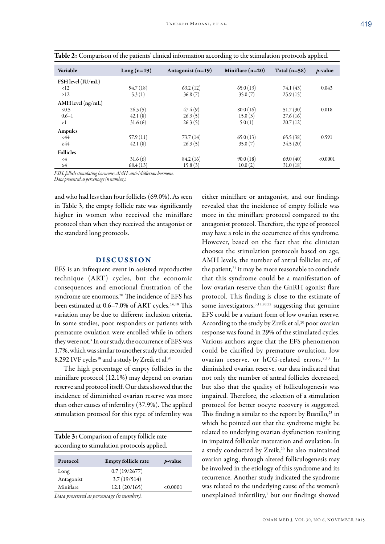| Variable              | $Long(n=19)$ | Antagonist $(n=19)$ | Miniflare $(n=20)$ | Total $(n=58)$ | $p$ -value |
|-----------------------|--------------|---------------------|--------------------|----------------|------------|
| $FSH$ level $(IU/mL)$ |              |                     |                    |                |            |
| $\leq 12$             | 94.7(18)     | 63.2(12)            | 65.0(13)           | 74.1(43)       | 0.043      |
| $\geq$ 12             | 5.3(1)       | 36.8(7)             | 35.0(7)            | 25.9(15)       |            |
| $AMH$ level $(ng/mL)$ |              |                     |                    |                |            |
| $\leq 0.5$            | 26.3(5)      | 47.4(9)             | 80.0(16)           | 51.7(30)       | 0.018      |
| $0.6 - 1$             | 42.1(8)      | 26.3(5)             | 15.0(3)            | 27.6(16)       |            |
| >1                    | 31.6(6)      | 26.3(5)             | 5.0(1)             | 20.7(12)       |            |
| Ampules               |              |                     |                    |                |            |
| <44                   | 57.9(11)     | 73.7(14)            | 65.0(13)           | 65.5(38)       | 0.591      |
| $\geq 44$             | 42.1(8)      | 26.3(5)             | 35.0(7)            | 34.5(20)       |            |
| <b>Follicles</b>      |              |                     |                    |                |            |
| $\leq 4$              | 31.6(6)      | 84.2(16)            | 90.0(18)           | 69.0(40)       | < 0.0001   |
| $\geq 4$              | 68.4(13)     | 15.8(3)             | 10.0(2)            | 31.0(18)       |            |

|  |  |  | Table 2: Comparison of the patients' clinical information according to the stimulation protocols applied. |  |  |  |
|--|--|--|-----------------------------------------------------------------------------------------------------------|--|--|--|
|--|--|--|-----------------------------------------------------------------------------------------------------------|--|--|--|

*FSH: follicle stimulating hormone; AMH: anti-Müllerian hormone.*

*Data presented as percentage (n number).*

and who had less than four follicles (69.0%). As seen in Table 3, the empty follicle rate was significantly higher in women who received the miniflare protocol than when they received the antagonist or the standard long protocols.

## DISCUSSION

EFS is an infrequent event in assisted reproductive technique (ART) cycles, but the economic consequences and emotional frustration of the syndrome are enormous.20 The incidence of EFS has been estimated at 0.6–7.0% of ART cycles.5,6,18 This variation may be due to different inclusion criteria. In some studies, poor responders or patients with premature ovulation were enrolled while in others they were not.<sup>3</sup> In our study, the occurrence of EFS was 1.7%, which was similar to another study that recorded 8,292 IVF cycles<sup>18</sup> and a study by Zreik et al.<sup>20</sup>

The high percentage of empty follicles in the miniflare protocol (12.1%) may depend on ovarian reserve and protocol itself. Our data showed that the incidence of diminished ovarian reserve was more than other causes of infertility (37.9%). The applied stimulation protocol for this type of infertility was

| Table 3: Comparison of empty follicle rate  |  |
|---------------------------------------------|--|
| according to stimulation protocols applied. |  |

| Protocol   | <b>Empty follicle rate</b> | $p$ -value |
|------------|----------------------------|------------|
| Long       | 0.7(19/2677)               |            |
| Antagonist | 3.7(19/514)                |            |
| Miniflare  | 12.1(20/165)               | < 0.0001   |

either miniflare or antagonist, and our findings revealed that the incidence of empty follicle was more in the miniflare protocol compared to the antagonist protocol. Therefore, the type of protocol may have a role in the occurrence of this syndrome. However, based on the fact that the clinician chooses the stimulation protocols based on age, AMH levels, the number of antral follicles etc, of the patient,<sup>21</sup> it may be more reasonable to conclude that this syndrome could be a manifestation of low ovarian reserve than the GnRH agonist flare protocol. This finding is close to the estimate of some investigators,  $3,18,20,22$  suggesting that genuine EFS could be a variant form of low ovarian reserve. According to the study by Zreik et al,<sup>20</sup> poor ovarian response was found in 29% of the stimulated cycles. Various authors argue that the EFS phenomenon could be clarified by premature ovulation, low ovarian reserve, or hCG-related errors.<sup>2,13</sup> In diminished ovarian reserve, our data indicated that not only the number of antral follicles decreased, but also that the quality of folliculogenesis was impaired. Therefore, the selection of a stimulation protocol for better oocyte recovery is suggested. This finding is similar to the report by Bustillo, $23$  in which he pointed out that the syndrome might be related to underlying ovarian dysfunction resulting in impaired follicular maturation and ovulation. In a study conducted by Zreik,<sup>20</sup> he also maintained ovarian aging, through altered folliculogenesis may be involved in the etiology of this syndrome and its recurrence. Another study indicated the syndrome was related to the underlying cause of the women's unexplained infertility,<sup>1</sup> but our findings showed